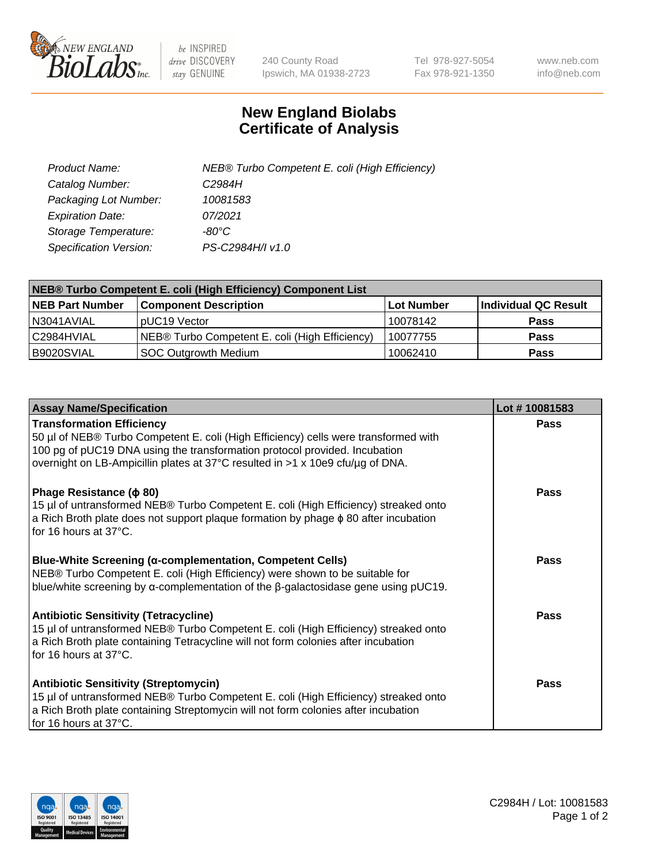

 $be$  INSPIRED drive DISCOVERY stay GENUINE

240 County Road Ipswich, MA 01938-2723 Tel 978-927-5054 Fax 978-921-1350 www.neb.com info@neb.com

## **New England Biolabs Certificate of Analysis**

| Product Name:           | NEB® Turbo Competent E. coli (High Efficiency) |
|-------------------------|------------------------------------------------|
| Catalog Number:         | C2984H                                         |
| Packaging Lot Number:   | 10081583                                       |
| <b>Expiration Date:</b> | 07/2021                                        |
| Storage Temperature:    | $-80^{\circ}$ C                                |
| Specification Version:  | PS-C2984H/I v1.0                               |

| <b>NEB® Turbo Competent E. coli (High Efficiency) Component List</b> |                                                |                   |                      |  |
|----------------------------------------------------------------------|------------------------------------------------|-------------------|----------------------|--|
| <b>NEB Part Number</b>                                               | <b>Component Description</b>                   | <b>Lot Number</b> | Individual QC Result |  |
| N3041AVIAL                                                           | pUC19 Vector                                   | 10078142          | <b>Pass</b>          |  |
| C2984HVIAL                                                           | NEB® Turbo Competent E. coli (High Efficiency) | 10077755          | <b>Pass</b>          |  |
| B9020SVIAL                                                           | SOC Outgrowth Medium                           | 10062410          | <b>Pass</b>          |  |

| <b>Assay Name/Specification</b>                                                                                                                                                                                                                                                         | Lot #10081583 |
|-----------------------------------------------------------------------------------------------------------------------------------------------------------------------------------------------------------------------------------------------------------------------------------------|---------------|
| <b>Transformation Efficiency</b><br>50 µl of NEB® Turbo Competent E. coli (High Efficiency) cells were transformed with<br>100 pg of pUC19 DNA using the transformation protocol provided. Incubation<br>overnight on LB-Ampicillin plates at 37°C resulted in >1 x 10e9 cfu/µg of DNA. | Pass          |
| Phage Resistance ( $\phi$ 80)<br>15 µl of untransformed NEB® Turbo Competent E. coli (High Efficiency) streaked onto<br>a Rich Broth plate does not support plaque formation by phage $\phi$ 80 after incubation<br>l for 16 hours at 37°C.                                             | Pass          |
| <b>Blue-White Screening (α-complementation, Competent Cells)</b><br>NEB® Turbo Competent E. coli (High Efficiency) were shown to be suitable for<br>blue/white screening by $\alpha$ -complementation of the $\beta$ -galactosidase gene using pUC19.                                   | Pass          |
| <b>Antibiotic Sensitivity (Tetracycline)</b><br>15 µl of untransformed NEB® Turbo Competent E. coli (High Efficiency) streaked onto<br>a Rich Broth plate containing Tetracycline will not form colonies after incubation<br>for 16 hours at 37°C.                                      | Pass          |
| <b>Antibiotic Sensitivity (Streptomycin)</b><br>15 µl of untransformed NEB® Turbo Competent E. coli (High Efficiency) streaked onto<br>a Rich Broth plate containing Streptomycin will not form colonies after incubation<br>for 16 hours at 37°C.                                      | Pass          |